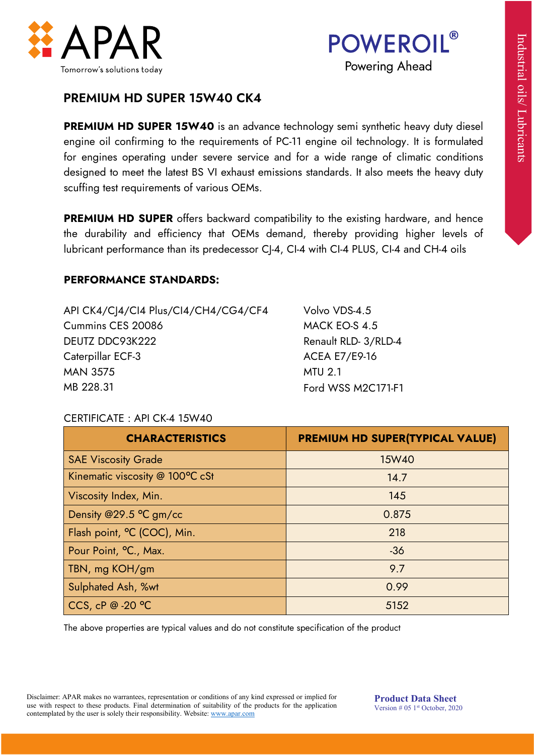



# PREMIUM HD SUPER 15W40 CK4

### PERFORMANCE STANDARDS:

| API CK4/C 4/CI4 Plus/CI4/CH4/CG4/CF4 | Volvo VDS-4.5        |
|--------------------------------------|----------------------|
| Cummins CES 20086                    | MACK EO-S 4.5        |
| DEUTZ DDC93K222                      | Renault RLD- 3/RLD-4 |
| Caterpillar ECF-3                    | <b>ACEA E7/E9-16</b> |
| <b>MAN 3575</b>                      | <b>MTU 2.1</b>       |
| MB 228.31                            | Ford WSS M2C171-F1   |

#### CERTIFICATE : API CK-4 15W40

| Tomorrow's solutions today                                                                                                                                                                                                                                                                                                                                                                                                    | <b>POWEROIL</b> ®<br>Powering Ahead                                                                                   |
|-------------------------------------------------------------------------------------------------------------------------------------------------------------------------------------------------------------------------------------------------------------------------------------------------------------------------------------------------------------------------------------------------------------------------------|-----------------------------------------------------------------------------------------------------------------------|
| <b>PREMIUM HD SUPER 15W40 CK4</b>                                                                                                                                                                                                                                                                                                                                                                                             |                                                                                                                       |
| <b>PREMIUM HD SUPER 15W40</b> is an advance technology semi synthetic heavy duty diesel<br>engine oil confirming to the requirements of PC-11 engine oil technology. It is formulated<br>for engines operating under severe service and for a wide range of climatic conditions<br>designed to meet the latest BS VI exhaust emissions standards. It also meets the heavy duty<br>scuffing test requirements of various OEMs. |                                                                                                                       |
| <b>PREMIUM HD SUPER</b> offers backward compatibility to the existing hardware, and hence<br>the durability and efficiency that OEMs demand, thereby providing higher levels of<br>lubricant performance than its predecessor CJ-4, CI-4 with CI-4 PLUS, CI-4 and CH-4 oils                                                                                                                                                   |                                                                                                                       |
| <b>PERFORMANCE STANDARDS:</b>                                                                                                                                                                                                                                                                                                                                                                                                 |                                                                                                                       |
| API CK4/CJ4/CI4 Plus/CI4/CH4/CG4/CF4<br>Cummins CES 20086<br>DEUTZ DDC93K222<br>Caterpillar ECF-3<br><b>MAN 3575</b><br>MB 228.31                                                                                                                                                                                                                                                                                             | Volvo VDS-4.5<br>MACK EO-S 4.5<br>Renault RLD-3/RLD-4<br><b>ACEA E7/E9-16</b><br><b>MTU 2.1</b><br>Ford WSS M2C171-F1 |
| CERTIFICATE: API CK-4 15W40                                                                                                                                                                                                                                                                                                                                                                                                   |                                                                                                                       |
| <b>CHARACTERISTICS</b>                                                                                                                                                                                                                                                                                                                                                                                                        | PREMIUM HD SUPER(TYPICAL VALUE)                                                                                       |
| <b>SAE Viscosity Grade</b>                                                                                                                                                                                                                                                                                                                                                                                                    | 15W40                                                                                                                 |
| Kinematic viscosity @ 100°C cSt                                                                                                                                                                                                                                                                                                                                                                                               | 14.7                                                                                                                  |
| Viscosity Index, Min.                                                                                                                                                                                                                                                                                                                                                                                                         | 145                                                                                                                   |
| Density @29.5 °C gm/cc                                                                                                                                                                                                                                                                                                                                                                                                        | 0.875                                                                                                                 |
| Flash point, °C (COC), Min.                                                                                                                                                                                                                                                                                                                                                                                                   | 218                                                                                                                   |
|                                                                                                                                                                                                                                                                                                                                                                                                                               |                                                                                                                       |
| Pour Point, °C., Max.                                                                                                                                                                                                                                                                                                                                                                                                         | $-36$                                                                                                                 |
| TBN, mg KOH/gm                                                                                                                                                                                                                                                                                                                                                                                                                | 9.7                                                                                                                   |
| Sulphated Ash, %wt<br>CCS, cP @ -20 °C                                                                                                                                                                                                                                                                                                                                                                                        | 0.99                                                                                                                  |

Disclaimer: APAR makes no warrantees, representation or conditions of any kind expressed or implied for use with respect to these products. Final determination of suitability of the products for the application contemplated by the user is solely their responsibility. Website: www.apar.com